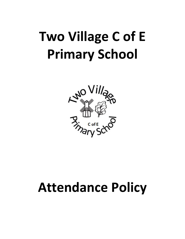

# **Attendance Policy**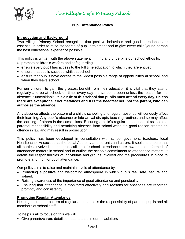

## **Pupil Attendance Policy**

### **Introduction and Background**

Two Village Primary School recognises that positive behaviour and good attendance are essential in order to raise standards of pupil attainment and to give every child/young person the best educational experience possible.

This policy is written with the above statement in mind and underpins our school ethos to:

- promote children's welfare and safeguarding
- ensure every pupil has access to the full time education to which they are entitled
- ensure that pupils succeed whilst at school
- ensure that pupils have access to the widest possible range of opportunities at school, and when they leave school

For our children to gain the greatest benefit from their education it is vital that they attend regularly and be at school, on time, every day the school is open unless the reason for the absence is unavoidable. **It is a rule of this school that pupils must attend every day, unless there are exceptional circumstances and it is the headteacher, not the parent, who can authorise the absence.**

Any absence affects the pattern of a child's schooling and regular absence will seriously affect their learning. Any pupil's absence or late arrival disrupts teaching routines and so may affect the learning of others in the same class. Ensuring a child's regular attendance at school is a parental responsibility and permitting absence from school without a good reason creates an offence in law and may result in prosecution.

This policy has been developed in consultation with school governors, teachers, local Headteacher Associations, the Local Authority and parents and carers. It seeks to ensure that all parties involved in the practicalities of school attendance are aware and informed of attendance matters in school and to outline the schools commitment to attendance matters. It details the responsibilities of individuals and groups involved and the procedures in place to promote and monitor pupil attendance.

Our policy aims to raise and maintain levels of attendance by:

- Promoting a positive and welcoming atmosphere in which pupils feel safe, secure and valued.
- Raising awareness of the importance of good attendance and punctuality
- Ensuring that attendance is monitored effectively and reasons for absences are recorded promptly and consistently.

## **Promoting Regular Attendance**

Helping to create a pattern of regular attendance is the responsibility of parents, pupils and all members of school staff.

To help us all to focus on this we will:

Give parents/carers details on attendance in our newsletters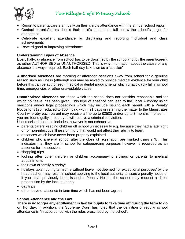

- Report to parents/carers annually on their child's attendance with the annual school report.
- Contact parents/carers should their child's attendance fall below the school's target for attendance.
- Celebrate excellent attendance by displaying and reporting individual and class achievements
- Reward good or improving attendance

## **Understanding Types of Absence**

Every half-day absence from school has to be classified by the school (not by the parent/carer), as either AUTHORISED or UNAUTHORISED. This is why information about the cause of any absence is always required. Each half-day is known as a 'session'

**Authorised absences** are morning or afternoon sessions away from school for a genuine reason such as illness (although you may be asked to provide medical evidence for your child before this can be authorised), medical or dental appointments which unavoidably fall in school time, emergencies or other unavoidable cause.

**Unauthorised absences** are those which the school does not consider reasonable and for which no 'leave' has been given. This type of absence can lead to the Local Authority using sanctions and/or legal proceedings which may include issuing each parent with a Penalty Notice for £120, reduced to £60 if paid within 21 days or referring the matter to the Magistrates Court whereby each parent may receive a fine up to £2500 and/or up to 3 months in prison. If you are found guilty in court you will receive a criminal conviction.

Unauthorised absence includes, however is not exhaustive:

- parents/carers keeping children off school unnecessarily e.g. because they had a late night or for non-infectious illness or injury that would not affect their ability to learn.
- absences which have never been properly explained
- children who arrive at school after the close of registration are marked using a 'U'. This indicates that they are in school for safeguarding purposes however is recorded as an absence for the session.
- shopping trips
- looking after other children or children accompanying siblings or parents to medical appointments
- their own or family birthdays
- holidays taken during term time without leave, not deemed 'for exceptional purposes' by the headteacher- may result in school applying to the local authority to issue a penalty notice or if you have previously been issued a Penalty Notice, the school may request a direct prosecution by the local authority.
- day trips
- other leave of absence in term time which has not been agreed

## **School Attendance and the Law**

**There is no longer any entitlement in law for pupils to take time off during the term to go on holiday.** In addition, the Supreme Court has ruled that the definition of regular school attendance is "in accordance with the rules prescribed by the school".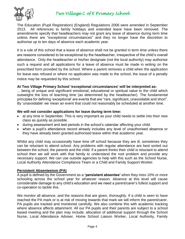

The Education (Pupil Registration) (England) Regulations 2006 were amended in September 2013. All references to family holidays and extended leave have been removed. The amendments specify that headteachers may not grant any leave of absence during term time unless there are "exceptional circumstances" and they no longer have the discretion to authorise up to ten days of absence each academic year.

It is a rule of this school that a leave of absence shall not be granted in term time unless there are reasons considered to be exceptional by the headteacher, irrespective of the child's overall attendance. Only the headteacher or his/her designate (not the local authority) may authorise such a request and all applications for a leave of absence must be made in writing on the prescribed form provided by the school. Where a parent removes a child when the application for leave was refused or where no application was made to the school, the issue of a penalty notice may be requested by this school.

#### **At Two Village Primary School 'exceptional circumstances' will be interpreted as:**

... being of unique and significant emotional, educational or spiritual value to the child which outweighs the loss of teaching time (as determined by the headteacher). The fundamental principles for defining 'exceptional' are events that are "rare, significant, unavoidable and short". By 'unavoidable' we mean an event that could not reasonably be scheduled at another time.

#### **We will not consider applications for leave during term time:**

- at any time in September. This is very important as your child needs to settle into their new class as quickly as possible.
- during assessment and test periods in the school's calendar affecting your child.
- when a pupil's attendance record already includes any level of unauthorised absence or they have already been granted authorised leave within that academic year.

Whilst any child may occasionally have time off school because they are ill, sometimes they can be reluctant to attend school. Any problems with regular attendance are best sorted out between the school, the parents and the child. If a parent thinks their child is reluctant to attend school then we will work with that family to understand the root problem and provide any necessary support. We can use outside agencies to help with this such as the School Nurse, Local Authority Attendance Compliance Team or a Child and Family Support Worker.

#### **Persistent Absenteeism (PA)**

A pupil is defined by the Government as a **'persistent absentee'** when they miss 10% or more schooling across the school year for whatever reason. Absence at this level will cause considerable damage to any child's education and we need a parent/carer's fullest support and co-operation to tackle this.

We monitor all absence, and the reasons that are given, thoroughly. If a child is seen to have reached the PA mark or is at risk of moving towards that mark we will inform the parent/carer. PA pupils are tracked and monitored carefully. We also combine this with academic tracking where absence affects attainment. All our PA pupils and their parents are subject to a school based meeting and the plan may include: allocation of additional support through the School Nurse, Local Attendance Adviser, Home School Liaison Worker, Local Authority, Family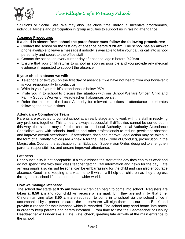

Solutions or Social Care. We may also use circle time, individual incentive programmes, individual targets and participation in group activities to support us in raising attendance.

## **Absence Procedures**

## **If a child is absent from school the parent/carer must follow the following procedures:**

- Contact the school on the first day of absence before **9.20 am**. The school has an answer phone available to leave a message if nobody is available to take your call, or call into school personally and speak to the office staff
- Contact the school on every further day of absence, again before **9.20am**
- Ensure that your child returns to school as soon as possible and you provide any medical evidence if requested to support the absence.

## **If your child is absent we will:**

- Telephone or text you on the first day of absence if we have not heard from you however it is your responsibility to contact us
- Write to you if your child's attendance is below 95%
- Invite you in to school to discuss the situation with our School Welfare Officer, Child and Family Support Worker or Headteacher if absences persist
- Refer the matter to the Local Authority for relevant sanctions if attendance deteriorates following the above actions

## **Attendance Compliance Team**

Parents are expected to contact school at an early stage and to work with the staff in resolving any problems together. This is nearly always successful. If difficulties cannot be sorted out in this way, the school may refer the child to the Local Authority. Local Authority Attendance Specialists work with schools, families and other professionals to reduce persistent absence and improve overall attendance. If attendance does not improve, legal action may be taken in the form of a Penalty Notice (see Annex A for the Essex Code of Conduct), prosecution in the Magistrates Court or the application of an Education Supervision Order, designed to strengthen parental responsibilities and ensure improved attendance.

## **Lateness**

Poor punctuality is not acceptable. If a child misses the start of the day they can miss work and do not spend time with their class teacher getting vital information and news for the day. Late arriving pupils also disrupt lessons, can be embarrassing for the child and can also encourage absence. Good time-keeping is a vital life skill which will help our children as they progress through their school life and out into the wider world.

## **How we manage lateness:**

The school day starts at **8.35 am** when children can begin to come into school. Registers are taken at **8.50 am** and your child will receive a late mark 'L' if they are not in by that time. Children arriving after **8.50 am** are required to come in to school via the school office if accompanied by a parent or carer, the parent/carer will sign them into our 'Late Book' and provide a reason for their lateness which is recorded. The school may send home 'late notes' in order to keep parents and carers informed. From time to time the Headteacher or Deputy Headteacher will undertake a 'Late Gate' check, greeting late arrivals at the main entrance to the school.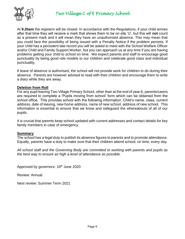

At **9.20am** the registers will be closed. In accordance with the Regulations, if your child arrives after that time they will receive a mark that shows them to be on site 'U', but this will **not** count as a present mark and it will mean they have an unauthorised absence. This may mean that you could face the possibility of being issued with a Penalty Notice if the problem persists. If your child has a persistent late record you will be asked to meet with the School Welfare Officer and/or Child and Family Support Worker, but you can approach us at any time if you are having problems getting your child to school on time. We expect parents and staff to encourage good punctuality by being good role models to our children and celebrate good class and individual punctuality.

If leave of absence is authorised, the school will not provide work for children to do during their absence. Parents are however advised to read with their children and encourage them to write a diary while they are away.

#### **Deletion from Roll**

For any pupil leaving Two Village Primary School, other than at the end of year 6, parents/carers are required to complete a 'Pupils moving from school' form which can be obtained from the school office. This provides school with the following information: Child's name, class, current address, date of leaving, new home address, name of new school, address of new school. This information is essential to ensure that we know and safeguard the whereabouts of all of our pupils.

It is crucial that parents keep school updated with current addresses and contact details for key family members in case of emergency.

#### **Summary**

The school has a legal duty to publish its absence figures to parents and to promote attendance. Equally, parents have a duty to make sure that their children attend school, on time, every day.

*All school staff and the Governing Body are committed to working with parents and pupils as the best way to ensure as high a level of attendance as possible.*

Approved by governors: 16<sup>th</sup> June 2020

Review: Annual

Next review: Summer Term 2021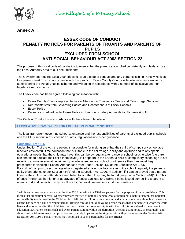

## **Annex A**

## **ESSEX CODE OF CONDUCT PENALTY NOTICES FOR PARENTS OF TRUANTS AND PARENTS OF PUPILS EXCLUDED FROM SCHOOL ANTI-SOCIAL BEHAVIOUR ACT 2003 SECTION 23**

The purpose of this local code of conduct is to ensure that the powers are applied consistently and fairly across the Local Authority area to all Essex residents.

The Government requires Local Authorities to issue a code of conduct and any persons issuing Penalty Notices to a parent<sup>1</sup> must do so in accordance with this protocol. Essex County Council is legislatively responsible for administering the Penalty Notice scheme and will do so in accordance with a number of legislative and nonlegislative requirements.

The Essex code has been agreed following consultation with;

- Essex County Council representatives Attendance Compliance Team and Essex Legal Services.
- Representatives from Governing Bodies and Headteachers of Essex Schools
- **Essex Police**
- Persons accredited under Essex Police's Community Safety Accreditation Scheme (CSAS)

The Code of Conduct is in accordance with the following legislation;

#### **LEGISLATIVE FRAMEWORK FOR EDUCATION PENALTY NOTICES**

The legal framework governing school attendance and the responsibilities of parents of excluded pupils, schools and the LA is set out in a succession of acts, regulations and other guidance.

#### **Education Act 1996**

 $\overline{\phantom{a}}$ 

Under Section 7 of the Act: the parent is responsible for making sure that their child of compulsory school age receives efficient full time education that is suitable to the child's age, ability and aptitude and to any special educational needs that the child may have, this can be by regular attendance at school, or otherwise (the parent can choose to educate their child themselves). If it appears to the LA that a child of compulsory school age is not receiving a suitable education, either by regular attendance at school or otherwise then they must begin procedures for issuing a School Attendance Order under Section 437 of the Education Act 1996. If a child of compulsory school age who is registered at a school fails to attend the school regularly the parent is guilty of an offence under Section 444(1) of the Education Act 1996. In addition, if it can be proved that a parent knew of the child's non-attendance and failed to act, then they may be found guilty under Section 444(1 A). This offence (known as the higher or aggravated offence) can lead to a warrant being issued compelling a parent to attend court and conviction may result in a higher level fine and/or a custodial sentence.

<sup>&</sup>lt;sup>1</sup> All those defined as a parent under Section 576 Education Act 1996 are parents for the purpose of these provisions. This means that all natural parents, whether they are married or not; any person who, although not a natural parent, has parental responsibility (as defined in the Children Act 1989) for a child or young person; and any person who, although not a natural parent, has care of a child or young person. Having care of a child or young person means that a person with whom the child lives and who looks after the child, irrespective of what their relationship is with the child, is considered to be a parent in education law. Parent means each and every parent coming within the definition (whether acting jointly or separately) and should not be taken to mean that provisions only apply to parent in the singular. As with prosecutions under Section 444 Education Act 1996 a penalty notice may be issued to each parent liable for the offence.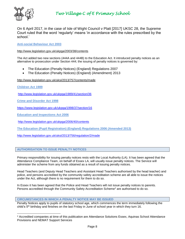

On 6 April 2017, in the case of Isle of Wight Council v Platt [2017] UKSC 28, the Supreme Court ruled that the word 'regularly' means 'in accordance with the rules prescribed by the school.'

**Anti-social Behaviour Act 2003**

#### <http://www.legislation.gov.uk/ukpga/2003/38/contents>

The Act added two new sections (444A and 444B) to the Education Act. It introduced penalty notices as an alternative to prosecution under Section 444; the issuing of penalty notices is governed by:

- The Education (Penalty Notices) (England) Regulations 2007
- The Education (Penalty Notices) (England) (Amendment) 2013

<http://www.legislation.gov.uk/uksi/2013/757/contents/made>

**Children Act 1989** 

 $\overline{\phantom{a}}$ 

<http://www.legislation.gov.uk/ukpga/1989/41/section/36>

**Crime and Disorder Act 1998** 

<https://www.legislation.gov.uk/ukpga/1998/37/section/16>

**Education and Inspections Act 2006** 

<http://www.legislation.gov.uk/ukpga/2006/40/contents>

**The Education (Pupil Registration) (England) Regulations 2006 (Amended 2013)**

<http://www.legislation.gov.uk/uksi/2013/756/regulation/2/made>

#### **AUTHORISATION TO ISSUE PENALTY NOTICES**

Primary responsibility for issuing penalty notices rests with the Local Authority (LA). It has been agreed that the Attendance Compliance Team, on behalf of Essex LA, will usually issue penalty notices. The Service will administer the scheme from any funds obtained as a result of issuing penalty notices.

Head Teachers (and Deputy Head Teachers and Assistant Head Teachers authorised by the head teacher) and police, and persons accredited by the community safety accreditation scheme are all able to issue the notices under the Act, although there is no requirement for them to do so.

In Essex it has been agreed that the Police and Head Teachers will not issue penalty notices to parents. Persons accredited through the Community Safety Accreditation Scheme<sup>2</sup> are authorised to do so.

#### **CIRCUMSTANCES IN WHICH A PENALTY NOTICE MAY BE ISSUED**

Penalty Notices apply to pupils of statutory school age, which commences the term immediately following the child's  $5<sup>th</sup>$  birthday and finishes on the last Friday in June of school year in which they turn 16.

<sup>2</sup> Accredited companies at time of this publication are Attendance Solutions Essex, Aquinas School Attendance Provisions and NEMAT Support Services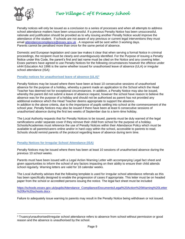

 $\overline{\phantom{a}}$ 

*Two Village C of E Primary School* 

Penalty notices will only be issued as a conclusion to a series of processes and when all attempts to address school attendance matters have been unsuccessful. If a previous Penalty Notice has been unsuccessful, rationale and justification should be provided as to why issuing another Penalty Notice would improve the attendance of the student. If schools are not aware of any previous or current legal interventions they must email [attendancecompliance@essex.gov.uk](mailto:attendancecompliance@essex.gov.uk) . A response will be sent within 3 working days. Parents cannot be penalised more than once for the same period of absence.

Domestic and European legislation and case law makes it clear that when serving a formal Notice in criminal proceedings, the recipient must be clearly and unambiguously identified. For the Purpose of issuing a Penalty Notice under this Code, the parent's first and last name must be cited on the Notice and any covering letter. Essex partners have agreed to use Penalty Notices for the following circumstances however the offence under s444 Education Act 1996 is the same whether issued for unauthorised leave of absence (ULA) or irregular school attendance (ISA):

#### **Penalty notices for unauthorised leave of absence (ULA)<sup>3</sup>**

Penalty Notices may be issued where there have been at least 10 consecutive sessions of unauthorised absence for the purpose of a holiday, whereby a parent made an application to the School which the Head Teacher has deemed not for exceptional circumstances. In addition, a Penalty Notice may also be issued, whereby the parent did not submit a leave of absence request, however the school have reason to believe the absence was for the purpose of a holiday and should not be authorised as parent has not provided any additional evidence which the Head Teacher deems appropriate to support the absence. In addition to the above criteria, due to the importance of pupils settling into school at the commencement of the school year, Penalty Notices may also be issued if there have been at least 6 consecutive sessions of unauthorised absence during the first two weeks of September due to a term-time holiday.

The Local Authority requests that for Penalty Notices to be issued, parents must be duly warned of the legal ramifications under separate cover if they remove their child from school for the purpose of a holiday. Schools/Academies must reference the use of Penalty Notices within their Attendance Policy which must be available to all parents/carers online and/or in hard copy within the school, accessible to parents to read. Schools should remind parents of the protocol regarding leave of absence during term time.

#### **Penalty Notices for Irregular School Attendance (ISA)**

Penalty Notices may be issued where there has been at least 10 sessions of unauthorised absence during the previous 10 school weeks.

Parents must have been issued with a Legal Action Warning Letter with accompanying Legal fact sheet and given opportunities to inform the school of any factors impacting on their ability to ensure their child attends school regularly. Warning letters are valid for 18 calendar weeks.

The Local Authority advises that the following template is used for irregular school attendance referrals as this has been specifically designed to enable the progression of cases if appropriate. This letter must be on headed paper from the school or accredited persons issuing the notice. The legal fact sheet must be included

[https://schools.essex.gov.uk/pupils/Attendance\\_Compliance/Documents/Legal%20Action%20Warning%20Letter](https://schools.essex.gov.uk/pupils/Attendance_Compliance/Documents/Legal%20Action%20Warning%20Letter%20for%20schools.docx) [%20for%20schools.docx](https://schools.essex.gov.uk/pupils/Attendance_Compliance/Documents/Legal%20Action%20Warning%20Letter%20for%20schools.docx) .

Failure to adequately issue warning to parents may result in the Penalty Notice being withdrawn or not issued.

<sup>3</sup> Truancy/unauthorised/irregular school attendance refers to absence from school without permission or good reason and the absence is unauthorised by the school.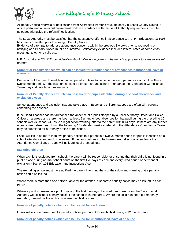

All penalty notice referrals or notifications from Accredited Persons must be sent via Essex County Council's online portal and all relevant pre-referral work in accordance with the Local Authority requirements must be uploaded alongside the referral/notification.

The Local Authority must be satisfied that the substantive offence in accordance with s.444 Education Act 1996 has been committed prior to issuing a Penalty Notice.

Evidence of attempts to address attendance concerns within the previous 8 weeks prior to requesting or notifying of a Penalty Notice must be submitted. Satisfactory evidence includes letters, notes of home visits, meetings, telephone calls etc.

N.B. *for ULA and ISA PN's consideration should always be given to whether it is appropriate to issue to absent parents.*

**Number of Penalty Notices which can be issued for Irregular school attendance/unauthorised leave of absence**

Discretion will be used to enable up to two penalty notices to be issued to each parent for each child within a twelve month period. If the law continues to be broken around school attendance the Attendance Compliance Team may instigate legal proceedings.

**Number of Penalty Notices which can be issued for pupils identified during a school attendance and exclusion sweep** 

School attendance and exclusion sweeps take place in Essex and children stopped are often with parents condoning the absence.

If the Head Teacher has not authorised the absence of a pupil stopped by a Local Authority Officer and Police Officer on a sweep and there has been at least 9 unauthorised absences for that pupil during the preceding 10 schools weeks, school will issue a legal action warning letter to the parent within 14 days. If there are any further unauthorised absences, during the following 18 calendar weeks a referral to the Attendance Compliance Team may be submitted for a Penalty Notice to be issued.

Essex will issue no more than two penalty notices to a parent in a twelve month period for pupils identified on a school attendance and exclusion sweep. If the law continues to be broken around school attendance the Attendance Compliance Team will instigate legal proceedings.

#### **Excluded children**

When a child is excluded from school, the parent will be responsible for ensuring that their child is not found in a public place during normal school hours on the first five days of each and every fixed period or permanent exclusion. (Section 103 Education and Inspections Act)

The excluding school must have notified the parent informing them of their duty and warning that a penalty notice could be issued.

Where there is more than one person liable for the offence, a separate penalty notice may be issued to each person.

Where a pupil is present in a public place in the first five days of a fixed period exclusion the Essex Local Authority would issue a penalty notice if the school is in their area. Where the child has been permanently excluded, it would be the authority where the child resides.

**Number of penalty notices which can be issued for exclusion**

Essex will issue a maximum of 2 penalty notices per parent for each child during a 12 month period.

**Number of penalty notices which can be issued for unauthorised leave of absence**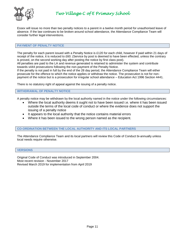

Essex will issue no more than two penalty notices to a parent in a twelve month period for unauthorised leave of absence. If the law continues to be broken around school attendance, the Attendance Compliance Team will consider further legal interventions.

#### **PAYMENT OF PENALTY NOTICE**

The penalty for each parent issued with a Penalty Notice is £120 for each child, however if paid within 21 days of receipt of the notice, it is reduced to £60. (Service by post is deemed to have been effected, unless the contrary is proved, on the second working day after posting the notice by first class post).

All penalties are paid to the LA and revenue generated is retained to administer the system and contribute towards s444 prosecutions following the non-payment of the Penalty Notice.

If the penalty is not paid in full by the end of the 28 day period, the Attendance Compliance Team will either prosecute for the offence to which the notice applies or withdraw the notice. The prosecution is not for nonpayment of the notice but is a prosecution for irregular school attendance – Education Act 1996 Section 4441.

There is no statutory right of appeal against the issuing of a penalty notice.

#### **WITHDRAWAL OF PENALTY NOTICE**

A penalty notice may be withdrawn by the local authority named in the notice under the following circumstances:

- Where the local authority deems it ought not to have been issued i.e. where it has been issued outside the terms of the local code of conduct or where the evidence does not support the issuing of a penalty notice
- It appears to the local authority that the notice contains material errors
- Where it has been issued to the wrong person named as the recipient.

#### **CO-ORDINATION BETWEEN THE LOCAL AUTHORITY AND ITS LOCAL PARTNERS**

The Attendance Compliance Team and its local partners will review this Code of Conduct bi-annually unless local needs require otherwise.

#### **VERSIONS**

Original Code of Conduct was introduced in September 2004. Most recent revision - November 2017 Revised March 2019 for implementation from April 2019